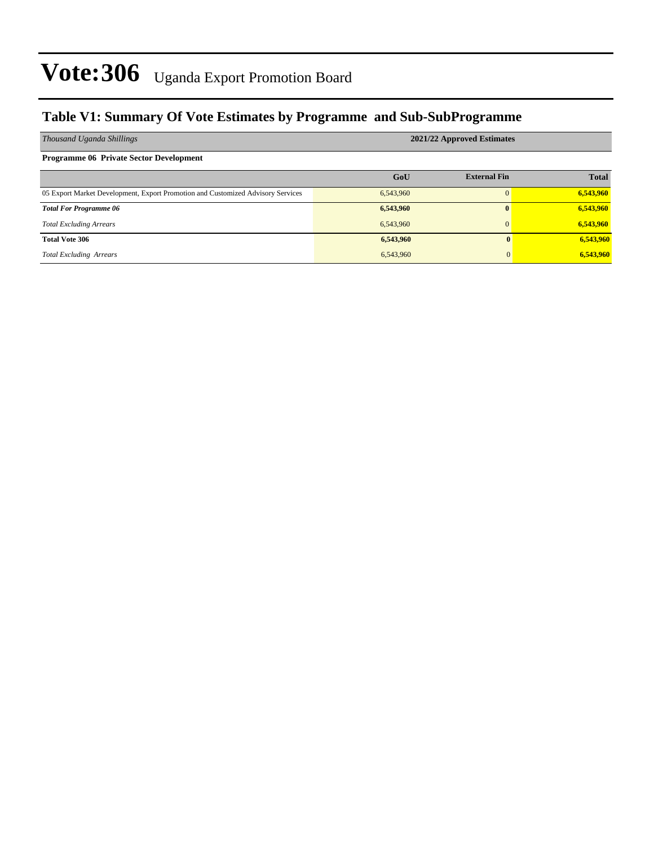#### **Table V1: Summary Of Vote Estimates by Programme and Sub-SubProgramme**

| Thousand Uganda Shillings                                                       | 2021/22 Approved Estimates |                     |              |  |  |  |
|---------------------------------------------------------------------------------|----------------------------|---------------------|--------------|--|--|--|
| <b>Programme 06 Private Sector Development</b>                                  |                            |                     |              |  |  |  |
|                                                                                 | GoU                        | <b>External Fin</b> | <b>Total</b> |  |  |  |
| 05 Export Market Development, Export Promotion and Customized Advisory Services | 6,543,960                  |                     | 6,543,960    |  |  |  |
| <b>Total For Programme 06</b>                                                   | 6,543,960                  | $\mathbf{0}$        | 6,543,960    |  |  |  |
| <b>Total Excluding Arrears</b>                                                  | 6,543,960                  | $\mathbf{0}$        | 6,543,960    |  |  |  |
| <b>Total Vote 306</b>                                                           | 6,543,960                  | 0                   | 6,543,960    |  |  |  |
| <b>Total Excluding Arrears</b>                                                  | 6,543,960                  | 0                   | 6,543,960    |  |  |  |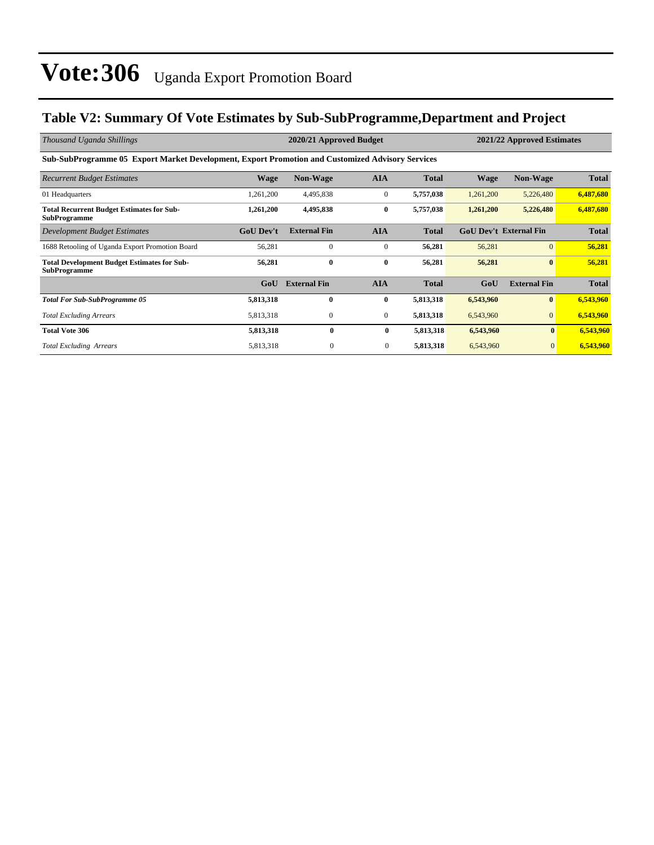#### **Table V2: Summary Of Vote Estimates by Sub-SubProgramme,Department and Project**

| Thousand Uganda Shillings                                                                        | 2020/21 Approved Budget |                     |              |              |           | 2021/22 Approved Estimates    |              |  |
|--------------------------------------------------------------------------------------------------|-------------------------|---------------------|--------------|--------------|-----------|-------------------------------|--------------|--|
| Sub-SubProgramme 05 Export Market Development, Export Promotion and Customized Advisory Services |                         |                     |              |              |           |                               |              |  |
| <b>Recurrent Budget Estimates</b>                                                                | <b>Wage</b>             | <b>Non-Wage</b>     | <b>AIA</b>   | <b>Total</b> | Wage      | <b>Non-Wage</b>               | <b>Total</b> |  |
| 01 Headquarters                                                                                  | 1,261,200               | 4,495,838           | $\mathbf{0}$ | 5,757,038    | 1,261,200 | 5,226,480                     | 6,487,680    |  |
| <b>Total Recurrent Budget Estimates for Sub-</b><br><b>SubProgramme</b>                          | 1,261,200               | 4,495,838           | $\bf{0}$     | 5,757,038    | 1,261,200 | 5,226,480                     | 6,487,680    |  |
| Development Budget Estimates                                                                     | <b>GoU Dev't</b>        | <b>External Fin</b> | <b>AIA</b>   | <b>Total</b> |           | <b>GoU Dev't External Fin</b> | <b>Total</b> |  |
| 1688 Retooling of Uganda Export Promotion Board                                                  | 56,281                  | $\mathbf{0}$        | $\mathbf{0}$ | 56,281       | 56,281    | $\overline{0}$                | 56,281       |  |
| <b>Total Development Budget Estimates for Sub-</b><br><b>SubProgramme</b>                        | 56,281                  | $\bf{0}$            | $\bf{0}$     | 56,281       | 56,281    | $\bf{0}$                      | 56,281       |  |
|                                                                                                  | GoU                     | <b>External Fin</b> | <b>AIA</b>   | <b>Total</b> | GoU       | <b>External Fin</b>           | <b>Total</b> |  |
| <b>Total For Sub-SubProgramme 05</b>                                                             | 5,813,318               | $\bf{0}$            | $\bf{0}$     | 5,813,318    | 6,543,960 | $\mathbf{0}$                  | 6,543,960    |  |
| <b>Total Excluding Arrears</b>                                                                   | 5,813,318               | $\mathbf{0}$        | $\mathbf{0}$ | 5,813,318    | 6,543,960 |                               | 6,543,960    |  |
| <b>Total Vote 306</b>                                                                            | 5,813,318               | $\mathbf{0}$        | $\bf{0}$     | 5,813,318    | 6,543,960 | $\mathbf{0}$                  | 6,543,960    |  |
| <b>Total Excluding Arrears</b>                                                                   | 5,813,318               | $\mathbf{0}$        | $\bf{0}$     | 5,813,318    | 6,543,960 | $\mathbf{0}$                  | 6,543,960    |  |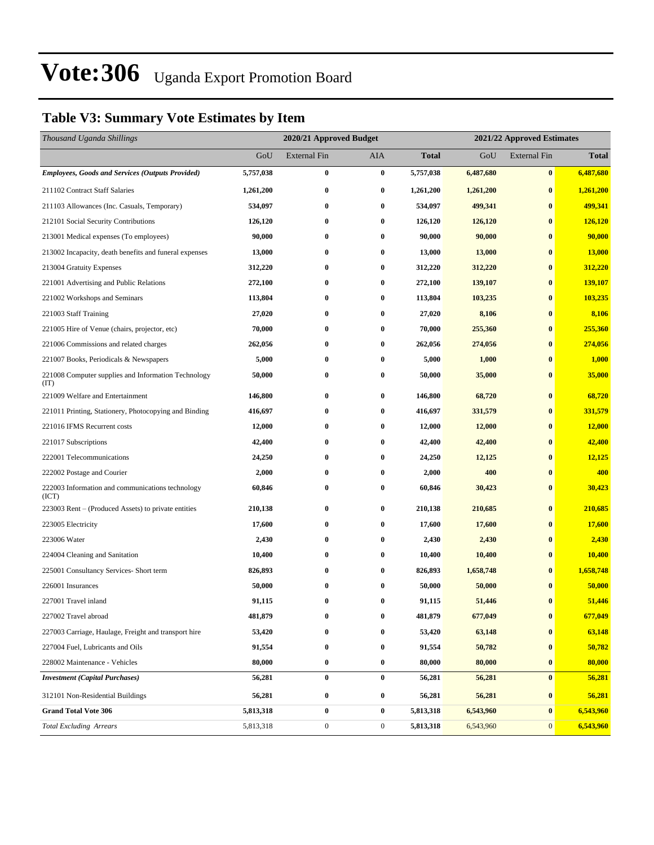### **Table V3: Summary Vote Estimates by Item**

| Thousand Uganda Shillings                                   |           | 2020/21 Approved Budget |                  |              | 2021/22 Approved Estimates |                     |              |  |
|-------------------------------------------------------------|-----------|-------------------------|------------------|--------------|----------------------------|---------------------|--------------|--|
|                                                             | GoU       | <b>External Fin</b>     | AIA              | <b>Total</b> | GoU                        | <b>External Fin</b> | <b>Total</b> |  |
| <b>Employees, Goods and Services (Outputs Provided)</b>     | 5,757,038 | $\bf{0}$                | $\bf{0}$         | 5,757,038    | 6,487,680                  | $\bf{0}$            | 6,487,680    |  |
| 211102 Contract Staff Salaries                              | 1,261,200 | $\bf{0}$                | $\bf{0}$         | 1,261,200    | 1,261,200                  | $\bf{0}$            | 1,261,200    |  |
| 211103 Allowances (Inc. Casuals, Temporary)                 | 534,097   | 0                       | $\bf{0}$         | 534,097      | 499,341                    | $\bf{0}$            | 499,341      |  |
| 212101 Social Security Contributions                        | 126,120   | $\bf{0}$                | $\bf{0}$         | 126,120      | 126,120                    | $\bf{0}$            | 126,120      |  |
| 213001 Medical expenses (To employees)                      | 90,000    | $\bf{0}$                | $\bf{0}$         | 90,000       | 90,000                     | $\bf{0}$            | 90,000       |  |
| 213002 Incapacity, death benefits and funeral expenses      | 13,000    | $\bf{0}$                | $\bf{0}$         | 13,000       | 13,000                     | $\bf{0}$            | 13,000       |  |
| 213004 Gratuity Expenses                                    | 312,220   | $\bf{0}$                | $\bf{0}$         | 312,220      | 312,220                    | $\bf{0}$            | 312,220      |  |
| 221001 Advertising and Public Relations                     | 272,100   | 0                       | $\bf{0}$         | 272,100      | 139,107                    | $\bf{0}$            | 139,107      |  |
| 221002 Workshops and Seminars                               | 113,804   | $\bf{0}$                | $\bf{0}$         | 113,804      | 103,235                    | $\bf{0}$            | 103,235      |  |
| 221003 Staff Training                                       | 27,020    | $\bf{0}$                | $\bf{0}$         | 27,020       | 8,106                      | $\bf{0}$            | 8,106        |  |
| 221005 Hire of Venue (chairs, projector, etc)               | 70,000    | $\bf{0}$                | $\bf{0}$         | 70,000       | 255,360                    | $\bf{0}$            | 255,360      |  |
| 221006 Commissions and related charges                      | 262,056   | $\bf{0}$                | 0                | 262,056      | 274,056                    | $\bf{0}$            | 274,056      |  |
| 221007 Books, Periodicals & Newspapers                      | 5,000     | 0                       | $\bf{0}$         | 5,000        | 1,000                      | $\bf{0}$            | 1,000        |  |
| 221008 Computer supplies and Information Technology<br>(TT) | 50,000    | $\bf{0}$                | $\bf{0}$         | 50,000       | 35,000                     | $\bf{0}$            | 35,000       |  |
| 221009 Welfare and Entertainment                            | 146,800   | $\bf{0}$                | $\bf{0}$         | 146,800      | 68,720                     | $\bf{0}$            | 68,720       |  |
| 221011 Printing, Stationery, Photocopying and Binding       | 416,697   | $\bf{0}$                | $\bf{0}$         | 416,697      | 331,579                    | $\bf{0}$            | 331,579      |  |
| 221016 IFMS Recurrent costs                                 | 12,000    | 0                       | $\bf{0}$         | 12,000       | 12,000                     | $\bf{0}$            | 12,000       |  |
| 221017 Subscriptions                                        | 42,400    | $\bf{0}$                | $\bf{0}$         | 42,400       | 42,400                     | $\bf{0}$            | 42,400       |  |
| 222001 Telecommunications                                   | 24,250    | 0                       | $\bf{0}$         | 24,250       | 12,125                     | $\bf{0}$            | 12,125       |  |
| 222002 Postage and Courier                                  | 2,000     | $\bf{0}$                | 0                | 2,000        | 400                        | $\bf{0}$            | 400          |  |
| 222003 Information and communications technology<br>(ICT)   | 60,846    | $\bf{0}$                | $\bf{0}$         | 60,846       | 30,423                     | $\bf{0}$            | 30,423       |  |
| 223003 Rent – (Produced Assets) to private entities         | 210,138   | $\bf{0}$                | $\bf{0}$         | 210,138      | 210,685                    | $\bf{0}$            | 210,685      |  |
| 223005 Electricity                                          | 17,600    | $\bf{0}$                | $\bf{0}$         | 17,600       | 17,600                     | $\bf{0}$            | 17,600       |  |
| 223006 Water                                                | 2,430     | $\bf{0}$                | $\bf{0}$         | 2,430        | 2,430                      | $\bf{0}$            | 2,430        |  |
| 224004 Cleaning and Sanitation                              | 10,400    | $\bf{0}$                | $\bf{0}$         | 10,400       | 10,400                     | $\bf{0}$            | 10,400       |  |
| 225001 Consultancy Services- Short term                     | 826,893   | 0                       | $\bf{0}$         | 826,893      | 1,658,748                  | $\bf{0}$            | 1,658,748    |  |
| 226001 Insurances                                           | 50,000    | 0                       | $\bf{0}$         | 50,000       | 50,000                     | $\bf{0}$            | 50,000       |  |
| 227001 Travel inland                                        | 91,115    | $\bf{0}$                | $\bf{0}$         | 91,115       | 51,446                     | $\bf{0}$            | 51,446       |  |
| 227002 Travel abroad                                        | 481,879   | $\bf{0}$                | $\bf{0}$         | 481,879      | 677,049                    | $\bf{0}$            | 677,049      |  |
| 227003 Carriage, Haulage, Freight and transport hire        | 53,420    | 0                       | 0                | 53,420       | 63,148                     | $\bf{0}$            | 63,148       |  |
| 227004 Fuel, Lubricants and Oils                            | 91,554    | $\bf{0}$                | $\bf{0}$         | 91,554       | 50,782                     | $\bf{0}$            | 50,782       |  |
| 228002 Maintenance - Vehicles                               | 80,000    | $\bf{0}$                | $\bf{0}$         | 80,000       | 80,000                     | $\bf{0}$            | 80,000       |  |
| <b>Investment</b> (Capital Purchases)                       | 56,281    | $\bf{0}$                | $\bf{0}$         | 56,281       | 56,281                     | $\bf{0}$            | 56,281       |  |
| 312101 Non-Residential Buildings                            | 56,281    | $\bf{0}$                | $\bf{0}$         | 56,281       | 56,281                     | $\bf{0}$            | 56,281       |  |
| <b>Grand Total Vote 306</b>                                 | 5,813,318 | $\pmb{0}$               | $\bf{0}$         | 5,813,318    | 6,543,960                  | $\bf{0}$            | 6,543,960    |  |
| <b>Total Excluding Arrears</b>                              | 5,813,318 | $\boldsymbol{0}$        | $\boldsymbol{0}$ | 5,813,318    | 6,543,960                  | $\mathbf{0}$        | 6,543,960    |  |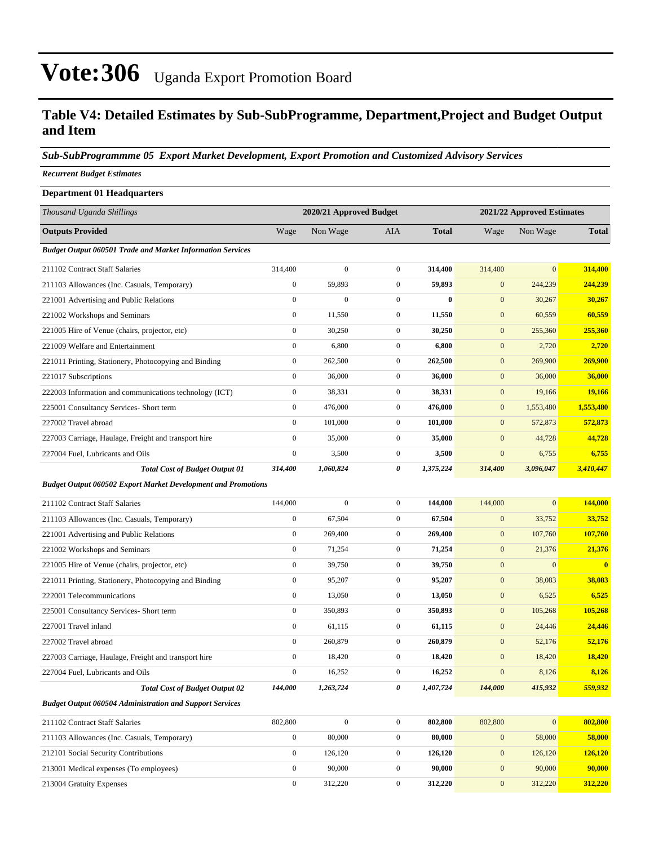#### **Table V4: Detailed Estimates by Sub-SubProgramme, Department,Project and Budget Output and Item**

#### *Sub-SubProgrammme 05 Export Market Development, Export Promotion and Customized Advisory Services*

*Recurrent Budget Estimates*

| <b>Department 01 Headquarters</b>                                    |                  |                         |                  |              |                            |              |              |  |
|----------------------------------------------------------------------|------------------|-------------------------|------------------|--------------|----------------------------|--------------|--------------|--|
| Thousand Uganda Shillings                                            |                  | 2020/21 Approved Budget |                  |              | 2021/22 Approved Estimates |              |              |  |
| <b>Outputs Provided</b>                                              | Wage             | Non Wage                | <b>AIA</b>       | <b>Total</b> | Wage                       | Non Wage     | <b>Total</b> |  |
| <b>Budget Output 060501 Trade and Market Information Services</b>    |                  |                         |                  |              |                            |              |              |  |
| 211102 Contract Staff Salaries                                       | 314,400          | $\boldsymbol{0}$        | $\mathbf{0}$     | 314,400      | 314,400                    | $\mathbf{0}$ | 314,400      |  |
| 211103 Allowances (Inc. Casuals, Temporary)                          | $\boldsymbol{0}$ | 59,893                  | $\overline{0}$   | 59,893       | $\mathbf{0}$               | 244,239      | 244,239      |  |
| 221001 Advertising and Public Relations                              | $\boldsymbol{0}$ | $\mathbf{0}$            | $\overline{0}$   | $\bf{0}$     | $\mathbf{0}$               | 30,267       | 30,267       |  |
| 221002 Workshops and Seminars                                        | $\boldsymbol{0}$ | 11,550                  | $\overline{0}$   | 11,550       | $\mathbf{0}$               | 60,559       | 60,559       |  |
| 221005 Hire of Venue (chairs, projector, etc)                        | $\boldsymbol{0}$ | 30,250                  | $\mathbf{0}$     | 30,250       | $\mathbf{0}$               | 255,360      | 255,360      |  |
| 221009 Welfare and Entertainment                                     | $\boldsymbol{0}$ | 6,800                   | $\mathbf{0}$     | 6,800        | $\mathbf{0}$               | 2,720        | 2,720        |  |
| 221011 Printing, Stationery, Photocopying and Binding                | $\boldsymbol{0}$ | 262,500                 | $\mathbf{0}$     | 262,500      | $\mathbf{0}$               | 269,900      | 269,900      |  |
| 221017 Subscriptions                                                 | $\boldsymbol{0}$ | 36,000                  | $\mathbf{0}$     | 36,000       | $\mathbf{0}$               | 36,000       | 36,000       |  |
| 222003 Information and communications technology (ICT)               | $\boldsymbol{0}$ | 38,331                  | $\mathbf{0}$     | 38,331       | $\mathbf{0}$               | 19,166       | 19,166       |  |
| 225001 Consultancy Services- Short term                              | $\boldsymbol{0}$ | 476,000                 | $\mathbf{0}$     | 476,000      | $\mathbf{0}$               | 1,553,480    | 1,553,480    |  |
| 227002 Travel abroad                                                 | $\boldsymbol{0}$ | 101,000                 | $\mathbf{0}$     | 101,000      | $\mathbf{0}$               | 572,873      | 572,873      |  |
| 227003 Carriage, Haulage, Freight and transport hire                 | $\boldsymbol{0}$ | 35,000                  | $\overline{0}$   | 35,000       | $\mathbf{0}$               | 44,728       | 44,728       |  |
| 227004 Fuel, Lubricants and Oils                                     | $\boldsymbol{0}$ | 3,500                   | $\mathbf{0}$     | 3,500        | $\boldsymbol{0}$           | 6,755        | 6,755        |  |
| <b>Total Cost of Budget Output 01</b>                                | 314,400          | 1,060,824               | 0                | 1,375,224    | 314,400                    | 3,096,047    | 3,410,447    |  |
| <b>Budget Output 060502 Export Market Development and Promotions</b> |                  |                         |                  |              |                            |              |              |  |
| 211102 Contract Staff Salaries                                       | 144,000          | $\boldsymbol{0}$        | $\mathbf{0}$     | 144,000      | 144,000                    | $\mathbf{0}$ | 144,000      |  |
| 211103 Allowances (Inc. Casuals, Temporary)                          | $\boldsymbol{0}$ | 67,504                  | $\mathbf{0}$     | 67,504       | $\mathbf{0}$               | 33,752       | 33,752       |  |
| 221001 Advertising and Public Relations                              | $\boldsymbol{0}$ | 269,400                 | $\mathbf{0}$     | 269,400      | $\mathbf{0}$               | 107,760      | 107,760      |  |
| 221002 Workshops and Seminars                                        | $\boldsymbol{0}$ | 71,254                  | $\mathbf{0}$     | 71,254       | $\mathbf{0}$               | 21,376       | 21,376       |  |
| 221005 Hire of Venue (chairs, projector, etc)                        | $\boldsymbol{0}$ | 39,750                  | $\overline{0}$   | 39,750       | $\mathbf{0}$               | $\mathbf{0}$ | $\bf{0}$     |  |
| 221011 Printing, Stationery, Photocopying and Binding                | $\boldsymbol{0}$ | 95,207                  | $\mathbf{0}$     | 95,207       | $\mathbf{0}$               | 38,083       | 38,083       |  |
| 222001 Telecommunications                                            | $\boldsymbol{0}$ | 13,050                  | $\mathbf{0}$     | 13,050       | $\mathbf{0}$               | 6,525        | 6,525        |  |
| 225001 Consultancy Services- Short term                              | $\boldsymbol{0}$ | 350,893                 | $\mathbf{0}$     | 350,893      | $\mathbf{0}$               | 105,268      | 105,268      |  |
| 227001 Travel inland                                                 | $\boldsymbol{0}$ | 61,115                  | $\mathbf{0}$     | 61,115       | $\mathbf{0}$               | 24,446       | 24,446       |  |
| 227002 Travel abroad                                                 | $\boldsymbol{0}$ | 260,879                 | $\mathbf{0}$     | 260,879      | $\mathbf{0}$               | 52,176       | 52,176       |  |
| 227003 Carriage, Haulage, Freight and transport hire                 | $\boldsymbol{0}$ | 18,420                  | $\mathbf{0}$     | 18,420       | $\mathbf{0}$               | 18,420       | 18,420       |  |
| 227004 Fuel, Lubricants and Oils                                     | $\boldsymbol{0}$ | 16,252                  | $\boldsymbol{0}$ | 16,252       | $\boldsymbol{0}$           | 8,126        | 8,126        |  |
| <b>Total Cost of Budget Output 02</b>                                | 144,000          | 1,263,724               | 0                | 1,407,724    | 144,000                    | 415,932      | 559,932      |  |
| <b>Budget Output 060504 Administration and Support Services</b>      |                  |                         |                  |              |                            |              |              |  |
| 211102 Contract Staff Salaries                                       | 802,800          | $\boldsymbol{0}$        | $\mathbf{0}$     | 802,800      | 802,800                    | $\mathbf{0}$ | 802,800      |  |
| 211103 Allowances (Inc. Casuals, Temporary)                          | $\boldsymbol{0}$ | 80,000                  | $\boldsymbol{0}$ | 80,000       | $\mathbf{0}$               | 58,000       | 58,000       |  |
| 212101 Social Security Contributions                                 | $\boldsymbol{0}$ | 126,120                 | $\boldsymbol{0}$ | 126,120      | $\mathbf{0}$               | 126,120      | 126,120      |  |
| 213001 Medical expenses (To employees)                               | $\boldsymbol{0}$ | 90,000                  | $\boldsymbol{0}$ | 90,000       | $\mathbf{0}$               | 90,000       | 90,000       |  |

213004 Gratuity Expenses 0 312,220 0 **312,220** 0 312,220 **312,220**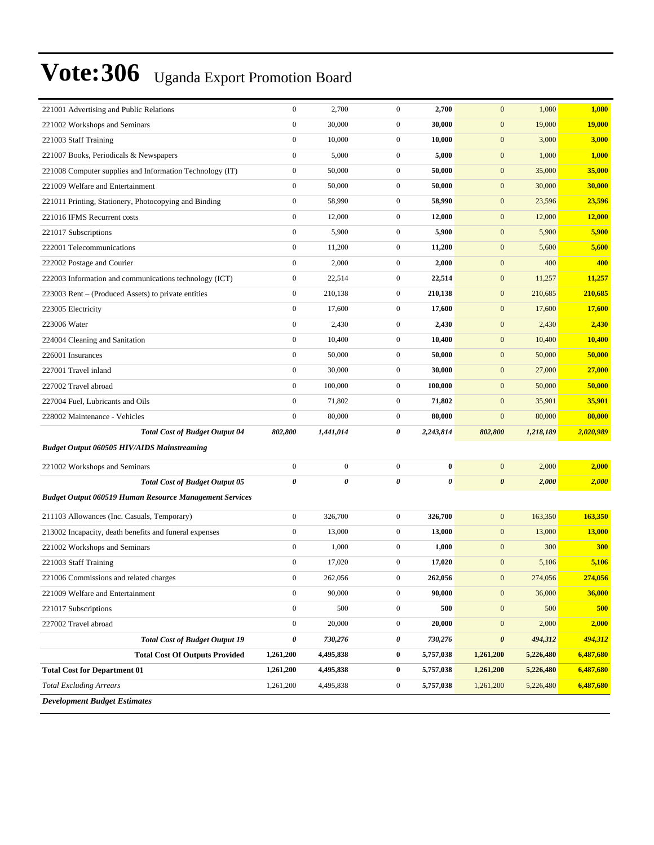| 221001 Advertising and Public Relations                        | $\boldsymbol{0}$      | 2,700            | $\mathbf{0}$     | 2,700     | $\mathbf{0}$          | 1,080     | 1,080         |
|----------------------------------------------------------------|-----------------------|------------------|------------------|-----------|-----------------------|-----------|---------------|
| 221002 Workshops and Seminars                                  | $\boldsymbol{0}$      | 30,000           | $\mathbf{0}$     | 30,000    | $\mathbf{0}$          | 19,000    | <b>19,000</b> |
| 221003 Staff Training                                          | $\boldsymbol{0}$      | 10,000           | $\mathbf{0}$     | 10,000    | $\mathbf{0}$          | 3,000     | 3,000         |
| 221007 Books, Periodicals & Newspapers                         | $\boldsymbol{0}$      | 5,000            | $\overline{0}$   | 5,000     | $\mathbf{0}$          | 1,000     | 1,000         |
| 221008 Computer supplies and Information Technology (IT)       | $\boldsymbol{0}$      | 50,000           | $\mathbf{0}$     | 50,000    | $\mathbf{0}$          | 35,000    | 35,000        |
| 221009 Welfare and Entertainment                               | $\boldsymbol{0}$      | 50,000           | $\mathbf{0}$     | 50,000    | $\mathbf{0}$          | 30,000    | 30,000        |
| 221011 Printing, Stationery, Photocopying and Binding          | $\boldsymbol{0}$      | 58,990           | $\mathbf{0}$     | 58,990    | $\mathbf{0}$          | 23,596    | 23,596        |
| 221016 IFMS Recurrent costs                                    | $\boldsymbol{0}$      | 12,000           | $\mathbf{0}$     | 12,000    | $\mathbf{0}$          | 12,000    | 12,000        |
| 221017 Subscriptions                                           | $\boldsymbol{0}$      | 5,900            | $\mathbf{0}$     | 5,900     | $\mathbf{0}$          | 5,900     | 5,900         |
| 222001 Telecommunications                                      | $\boldsymbol{0}$      | 11,200           | $\mathbf{0}$     | 11,200    | $\mathbf{0}$          | 5,600     | 5,600         |
| 222002 Postage and Courier                                     | $\boldsymbol{0}$      | 2,000            | $\mathbf{0}$     | 2,000     | $\mathbf{0}$          | 400       | 400           |
| 222003 Information and communications technology (ICT)         | $\boldsymbol{0}$      | 22,514           | $\mathbf{0}$     | 22,514    | $\mathbf{0}$          | 11,257    | 11,257        |
| 223003 Rent – (Produced Assets) to private entities            | $\boldsymbol{0}$      | 210,138          | $\mathbf{0}$     | 210,138   | $\mathbf{0}$          | 210,685   | 210,685       |
| 223005 Electricity                                             | $\boldsymbol{0}$      | 17,600           | $\mathbf{0}$     | 17,600    | $\mathbf{0}$          | 17,600    | 17,600        |
| 223006 Water                                                   | $\boldsymbol{0}$      | 2,430            | $\mathbf{0}$     | 2,430     | $\mathbf{0}$          | 2,430     | 2,430         |
| 224004 Cleaning and Sanitation                                 | $\boldsymbol{0}$      | 10,400           | $\mathbf{0}$     | 10,400    | $\mathbf{0}$          | 10,400    | 10,400        |
| 226001 Insurances                                              | $\boldsymbol{0}$      | 50,000           | $\overline{0}$   | 50,000    | $\mathbf{0}$          | 50,000    | 50,000        |
| 227001 Travel inland                                           | $\boldsymbol{0}$      | 30,000           | $\mathbf{0}$     | 30,000    | $\mathbf{0}$          | 27,000    | 27,000        |
| 227002 Travel abroad                                           | $\boldsymbol{0}$      | 100,000          | $\overline{0}$   | 100,000   | $\mathbf{0}$          | 50,000    | 50,000        |
| 227004 Fuel, Lubricants and Oils                               | $\mathbf{0}$          | 71,802           | $\mathbf{0}$     | 71,802    | $\mathbf{0}$          | 35,901    | 35,901        |
| 228002 Maintenance - Vehicles                                  | $\boldsymbol{0}$      | 80,000           | $\mathbf{0}$     | 80,000    | $\boldsymbol{0}$      | 80,000    | 80,000        |
| <b>Total Cost of Budget Output 04</b>                          | 802,800               | 1,441,014        | 0                | 2,243,814 | 802,800               | 1,218,189 | 2,020,989     |
| <b>Budget Output 060505 HIV/AIDS Mainstreaming</b>             |                       |                  |                  |           |                       |           |               |
| 221002 Workshops and Seminars                                  | $\boldsymbol{0}$      | $\boldsymbol{0}$ | $\overline{0}$   | $\bf{0}$  | $\mathbf{0}$          | 2,000     | 2,000         |
| <b>Total Cost of Budget Output 05</b>                          | $\boldsymbol{\theta}$ | $\pmb{\theta}$   | 0                | 0         | $\boldsymbol{\theta}$ | 2,000     | 2,000         |
| <b>Budget Output 060519 Human Resource Management Services</b> |                       |                  |                  |           |                       |           |               |
| 211103 Allowances (Inc. Casuals, Temporary)                    | $\boldsymbol{0}$      | 326,700          | $\mathbf{0}$     | 326,700   | $\mathbf{0}$          | 163,350   | 163,350       |
| 213002 Incapacity, death benefits and funeral expenses         | $\boldsymbol{0}$      | 13,000           | $\mathbf{0}$     | 13,000    | $\mathbf{0}$          | 13,000    | 13,000        |
| 221002 Workshops and Seminars                                  | $\mathbf{0}$          | 1,000            | $\mathbf{0}$     | 1,000     | $\mathbf{0}$          | 300       | <b>300</b>    |
| 221003 Staff Training                                          | $\boldsymbol{0}$      | 17,020           | $\mathbf{0}$     | 17,020    | $\mathbf{0}$          | 5,106     | 5,106         |
| 221006 Commissions and related charges                         | $\boldsymbol{0}$      | 262,056          | $\boldsymbol{0}$ | 262,056   | $\bf{0}$              | 274,056   | 274,056       |
| 221009 Welfare and Entertainment                               | $\boldsymbol{0}$      | 90,000           | $\boldsymbol{0}$ | 90,000    | $\mathbf{0}$          | 36,000    | 36,000        |
| 221017 Subscriptions                                           | $\boldsymbol{0}$      | 500              | $\boldsymbol{0}$ | 500       | $\mathbf{0}$          | 500       | 500           |
| 227002 Travel abroad                                           | $\boldsymbol{0}$      | 20,000           | $\boldsymbol{0}$ | 20,000    | $\mathbf{0}$          | 2,000     | 2,000         |
| <b>Total Cost of Budget Output 19</b>                          | 0                     | 730,276          | 0                | 730,276   | $\pmb{\theta}$        | 494,312   | 494,312       |
| <b>Total Cost Of Outputs Provided</b>                          | 1,261,200             | 4,495,838        | $\bf{0}$         | 5,757,038 | 1,261,200             | 5,226,480 | 6,487,680     |
| <b>Total Cost for Department 01</b>                            | 1,261,200             | 4,495,838        | 0                | 5,757,038 | 1,261,200             | 5,226,480 | 6,487,680     |
| <b>Total Excluding Arrears</b>                                 | 1,261,200             | 4,495,838        | $\boldsymbol{0}$ | 5,757,038 | 1,261,200             | 5,226,480 | 6,487,680     |
| <b>Development Budget Estimates</b>                            |                       |                  |                  |           |                       |           |               |